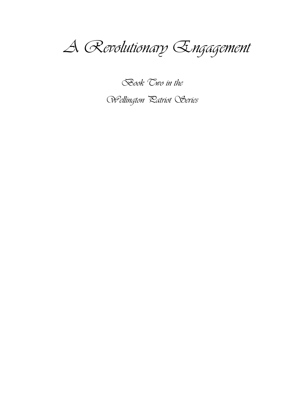

**Book** Two in the

Wellington Ratriot Series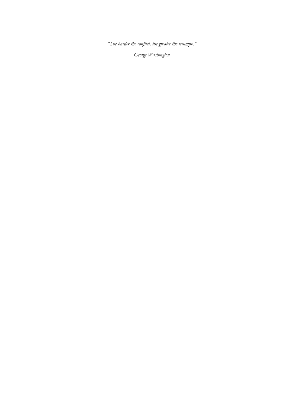*"The harder the conflict, the greater the triumph."*

*George Washington*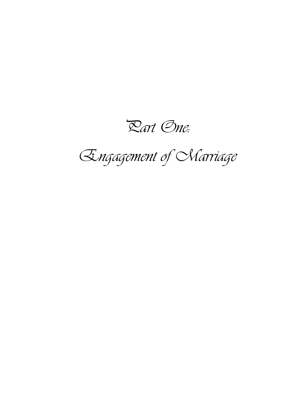Part One:

Engagement of Marriage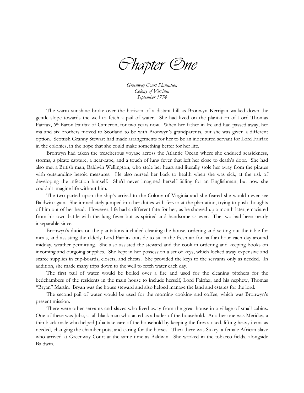Chapter One

*Greenway Court Plantation Colony of Virginia September 1774*

The warm sunshine broke over the horizon of a distant hill as Bronwyn Kerrigan walked down the gentle slope towards the well to fetch a pail of water. She had lived on the plantation of Lord Thomas Fairfax, 6th Baron Fairfax of Cameron, for two years now. When her father in Ireland had passed away, her ma and six brothers moved to Scotland to be with Bronwyn's grandparents, but she was given a different option. Scottish Granny Stewart had made arrangements for her to be an indentured servant for Lord Fairfax in the colonies, in the hope that she could make something better for her life.

Bronwyn had taken the treacherous voyage across the Atlantic Ocean where she endured seasickness, storms, a pirate capture, a near-rape, and a touch of lung fever that left her close to death's door. She had also met a British man, Baldwin Wellington, who stole her heart and literally stole her away from the pirates with outstanding heroic measures. He also nursed her back to health when she was sick, at the risk of developing the infection himself. She'd never imagined herself falling for an Englishman, but now she couldn't imagine life without him.

The two parted upon the ship's arrival to the Colony of Virginia and she feared she would never see Baldwin again. She immediately jumped into her duties with fervor at the plantation, trying to push thoughts of him out of her head. However, life had a different fate for her, as he showed up a month later, emaciated from his own battle with the lung fever but as spirited and handsome as ever. The two had been nearly inseparable since.

Bronwyn's duties on the plantations included cleaning the house, ordering and setting out the table for meals, and assisting the elderly Lord Fairfax outside to sit in the fresh air for half an hour each day around midday, weather permitting. She also assisted the steward and the cook in ordering and keeping books on incoming and outgoing supplies. She kept in her possession a set of keys, which locked away expensive and scarce supplies in cup-boards, closets, and chests. She provided the keys to the servants only as needed. In addition, she made many trips down to the well to fetch water each day.

The first pail of water would be boiled over a fire and used for the cleaning pitchers for the bedchambers of the residents in the main house to include herself, Lord Fairfax, and his nephew, Thomas "Bryan" Martin. Bryan was the house steward and also helped manage the land and estates for the lord.

The second pail of water would be used for the morning cooking and coffee, which was Bronwyn's present mission.

There were other servants and slaves who lived away from the great house in a village of small cabins. One of these was Juba, a tall black man who acted as a butler of the household. Another one was Meriday, a thin black male who helped Juba take care of the household by keeping the fires stoked, lifting heavy items as needed, changing the chamber pots, and caring for the horses. Then there was Sukey, a female African slave who arrived at Greenway Court at the same time as Baldwin. She worked in the tobacco fields, alongside Baldwin.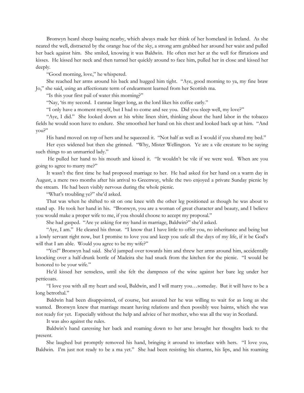Bronwyn heard sheep baaing nearby, which always made her think of her homeland in Ireland. As she neared the well, distracted by the orange hue of the sky, a strong arm grabbed her around her waist and pulled her back against him. She smiled, knowing it was Baldwin. He often met her at the well for flirtations and kisses. He kissed her neck and then turned her quickly around to face him, pulled her in close and kissed her deeply.

"Good morning, love," he whispered.

She reached her arms around his back and hugged him tight. "Aye, good morning to ya, my fine braw Jo," she said, using an affectionate term of endearment learned from her Scottish ma.

"Is this your first pail of water this morning?"

"Nay, 'tis my second. I cannae linger long, as the lord likes his coffee early."

"I only have a moment myself, but I had to come and see you. Did you sleep well, my love?"

"Aye, I did." She looked down at his white linen shirt, thinking about the hard labor in the tobacco fields he would soon have to endure. She smoothed her hand on his chest and looked back up at him. "And you?"

His hand moved on top of hers and he squeezed it. "Not half as well as I would if you shared my bed."

Her eyes widened but then she grinned. "Why, Mister Wellington. Ye are a vile creature to be saying such things to an unmarried lady."

He pulled her hand to his mouth and kissed it. "It wouldn't be vile if we were wed. When are you going to agree to marry me?"

It wasn't the first time he had proposed marriage to her. He had asked for her hand on a warm day in August, a mere two months after his arrival to Greenway, while the two enjoyed a private Sunday picnic by the stream. He had been visibly nervous during the whole picnic.

"What's troubling ye?" she'd asked.

That was when he shifted to sit on one knee with the other leg positioned as though he was about to stand up. He took her hand in his. "Bronwyn, you are a woman of great character and beauty, and I believe you would make a proper wife to me, if you should choose to accept my proposal."

She had gasped. "Are ye asking for my hand in marriage, Baldwin?" she'd asked.

"Aye, I am." He cleared his throat. "I know that I have little to offer you, no inheritance and being but a lowly servant right now, but I promise to love you and keep you safe all the days of my life, if it be God's will that I am able. Would you agree to be my wife?"

"Yes!" Bronwyn had said. She'd jumped over towards him and threw her arms around him, accidentally knocking over a half-drunk bottle of Madeira she had snuck from the kitchen for the picnic. "I would be honored to be your wife."

He'd kissed her senseless, until she felt the dampness of the wine against her bare leg under her petticoats.

"I love you with all my heart and soul, Baldwin, and I will marry you…someday. But it will have to be a long betrothal."

Baldwin had been disappointed, of course, but assured her he was willing to wait for as long as she wanted. Bronwyn knew that marriage meant having relations and then possibly wee bairns, which she was not ready for yet. Especially without the help and advice of her mother, who was all the way in Scotland.

It was also against the rules.

Baldwin's hand caressing her back and roaming down to her arse brought her thoughts back to the present.

She laughed but promptly removed his hand, bringing it around to interlace with hers. "I love you, Baldwin. I'm just not ready to be a ma yet." She had been resisting his charms, his lips, and his roaming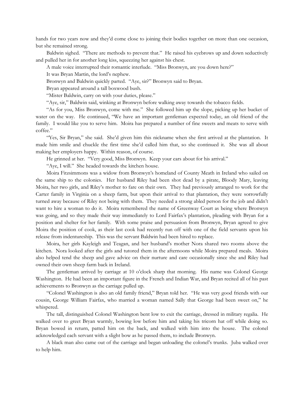hands for two years now and they'd come close to joining their bodies together on more than one occasion, but she remained strong.

Baldwin sighed. "There are methods to prevent that." He raised his eyebrows up and down seductively and pulled her in for another long kiss, squeezing her against his chest.

A male voice interrupted their romantic interlude. "Miss Bronwyn, are you down here?"

It was Bryan Martin, the lord's nephew.

Bronwyn and Baldwin quickly parted. "Aye, sir?" Bronwyn said to Bryan.

Bryan appeared around a tall boxwood bush.

"Mister Baldwin, carry on with your duties, please."

"Aye, sir," Baldwin said, winking at Bronwyn before walking away towards the tobacco fields.

"As for you, Miss Bronwyn, come with me." She followed him up the slope, picking up her bucket of water on the way. He continued, "We have an important gentleman expected today, an old friend of the family. I would like you to serve him. Moira has prepared a number of fine sweets and meats to serve with coffee."

"Yes, Sir Bryan," she said. She'd given him this nickname when she first arrived at the plantation. It made him smile and chuckle the first time she'd called him that, so she continued it. She was all about making her employers happy. Within reason, of course.

He grinned at her. "Very good, Miss Bronwyn. Keep your ears about for his arrival."

"Aye, I will." She headed towards the kitchen house.

Moira Fitzsimmons was a widow from Bronwyn's homeland of County Meath in Ireland who sailed on the same ship to the colonies. Her husband Riley had been shot dead by a pirate, Bloody Mary, leaving Moira, her two girls, and Riley's mother to fare on their own. They had previously arranged to work for the Carter family in Virginia on a sheep farm, but upon their arrival to that plantation, they were sorrowfully turned away because of Riley not being with them. They needed a strong abled person for the job and didn't want to hire a woman to do it. Moira remembered the name of Greenway Court as being where Bronwyn was going, and so they made their way immediately to Lord Fairfax's plantation, pleading with Bryan for a position and shelter for her family. With some praise and persuasion from Bronwyn, Bryan agreed to give Moira the position of cook, as their last cook had recently run off with one of the field servants upon his release from indentureship. This was the servant Baldwin had been hired to replace.

Moira, her girls Kayleigh and Teagan, and her husband's mother Nora shared two rooms above the kitchen. Nora looked after the girls and tutored them in the afternoons while Moira prepared meals. Moira also helped tend the sheep and gave advice on their nurture and care occasionally since she and Riley had owned their own sheep farm back in Ireland.

The gentleman arrived by carriage at 10 o'clock sharp that morning. His name was Colonel George Washington. He had been an important figure in the French and Indian War, and Bryan recited all of his past achievements to Bronwyn as the carriage pulled up.

"Colonel Washington is also an old family friend," Bryan told her. "He was very good friends with our cousin, George William Fairfax, who married a woman named Sally that George had been sweet on," he whispered.

The tall, distinguished Colonel Washington bent low to exit the carriage, dressed in military regalia. He walked over to greet Bryan warmly, bowing low before him and taking his tricorn hat off while doing so. Bryan bowed in return, patted him on the back, and walked with him into the house. The colonel acknowledged each servant with a slight bow as he passed them, to include Bronwyn.

A black man also came out of the carriage and began unloading the colonel's trunks. Juba walked over to help him.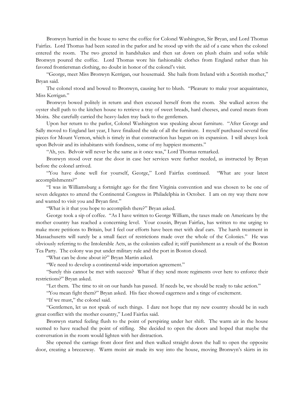Bronwyn hurried in the house to serve the coffee for Colonel Washington, Sir Bryan, and Lord Thomas Fairfax. Lord Thomas had been seated in the parlor and he stood up with the aid of a cane when the colonel entered the room. The two greeted in handshakes and then sat down on plush chairs and sofas while Bronwyn poured the coffee. Lord Thomas wore his fashionable clothes from England rather than his favored frontiersman clothing, no doubt in honor of the colonel's visit.

"George, meet Miss Bronwyn Kerrigan, our housemaid. She hails from Ireland with a Scottish mother," Bryan said.

The colonel stood and bowed to Bronwyn, causing her to blush. "Pleasure to make your acquaintance, Miss Kerrigan."

Bronwyn bowed politely in return and then excused herself from the room. She walked across the oyster shell path to the kitchen house to retrieve a tray of sweet breads, hard cheeses, and cured meats from Moira. She carefully carried the heavy-laden tray back to the gentlemen.

Upon her return to the parlor, Colonel Washington was speaking about furniture. "After George and Sally moved to England last year, I have finalized the sale of all the furniture. I myself purchased several fine pieces for Mount Vernon, which is timely in that construction has begun on its expansion. I will always look upon Belvoir and its inhabitants with fondness, some of my happiest moments."

"Ah, yes. Belvoir will never be the same as it once was," Lord Thomas remarked.

Bronwyn stood over near the door in case her services were further needed, as instructed by Bryan before the colonel arrived.

"You have done well for yourself, George," Lord Fairfax continued. "What are your latest accomplishments?"

"I was in Williamsburg a fortnight ago for the first Virginia convention and was chosen to be one of seven delegates to attend the Continental Congress in Philadelphia in October. I am on my way there now and wanted to visit you and Bryan first."

"What is it that you hope to accomplish there?" Bryan asked.

George took a sip of coffee. "As I have written to George William, the taxes made on Americans by the mother country has reached a concerning level. Your cousin, Bryan Fairfax, has written to me urging to make more petitions to Britain, but I feel our efforts have been met with deaf ears. The harsh treatment in Massachusetts will surely be a small facet of restrictions made over the whole of the Colonies." He was obviously referring to the Intolerable Acts, as the colonists called it; stiff punishment as a result of the Boston Tea Party. The colony was put under military rule and the port in Boston closed.

"What can be done about it?" Bryan Martin asked.

"We need to develop a continental-wide importation agreement."

"Surely this cannot be met with success? What if they send more regiments over here to enforce their restrictions?" Bryan asked.

"Let them. The time to sit on our hands has passed. If needs be, we should be ready to take action."

"You mean fight them?" Bryan asked. His face showed eagerness and a tinge of excitement.

"If we must," the colonel said.

"Gentlemen, let us not speak of such things. I dare not hope that my new country should be in such great conflict with the mother country," Lord Fairfax said.

Bronwyn started feeling flush to the point of perspiring under her shift. The warm air in the house seemed to have reached the point of stifling. She decided to open the doors and hoped that maybe the conversation in the room would lighten with her distraction.

She opened the carriage front door first and then walked straight down the hall to open the opposite door, creating a breezeway. Warm moist air made its way into the house, moving Bronwyn's skirts in its